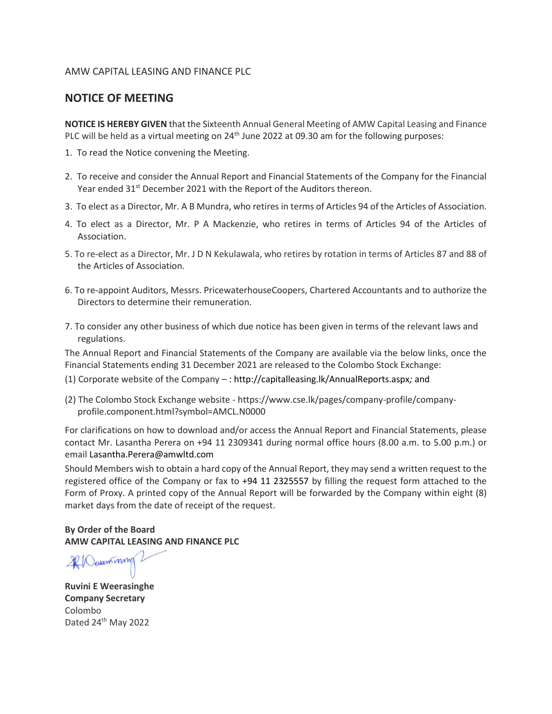#### AMW CAPITAL LEASING AND FINANCE PLC

## **NOTICE OF MEETING**

**NOTICE IS HEREBY GIVEN** that the Sixteenth Annual General Meeting of AMW Capital Leasing and Finance PLC will be held as a virtual meeting on 24<sup>th</sup> June 2022 at 09.30 am for the following purposes:

- 1. To read the Notice convening the Meeting.
- 2. To receive and consider the Annual Report and Financial Statements of the Company for the Financial Year ended 31<sup>st</sup> December 2021 with the Report of the Auditors thereon.
- 3. To elect as a Director, Mr. A B Mundra, who retires in terms of Articles 94 of the Articles of Association.
- 4. To elect as a Director, Mr. P A Mackenzie, who retires in terms of Articles 94 of the Articles of Association.
- 5. To re-elect as a Director, Mr. J D N Kekulawala, who retires by rotation in terms of Articles 87 and 88 of the Articles of Association.
- 6. To re-appoint Auditors, Messrs. PricewaterhouseCoopers, Chartered Accountants and to authorize the Directors to determine their remuneration.
- 7. To consider any other business of which due notice has been given in terms of the relevant laws and regulations.

The Annual Report and Financial Statements of the Company are available via the below links, once the Financial Statements ending 31 December 2021 are released to the Colombo Stock Exchange:

- (1) Corporate website of the Company [: http://capitalleasing.lk/AnnualReports.aspx](http://capitalleasing.lk/AnnualReports.aspx)*;* and
- (2) The Colombo Stock Exchange website https://www.cse.lk/pages/company-profile/companyprofile.component.html?symbol=AMCL.N0000

For clarifications on how to download and/or access the Annual Report and Financial Statements, please contact Mr. Lasantha Perera on +94 11 2309341 during normal office hours (8.00 a.m. to 5.00 p.m.) or email [Lasantha.Perera@amwltd.com](mailto:Lasantha.Perera@amwltd.com)

Should Members wish to obtain a hard copy of the Annual Report, they may send a written request to the registered office of the Company or fax to +94 11 2325557 by filling the request form attached to the Form of Proxy. A printed copy of the Annual Report will be forwarded by the Company within eight (8) market days from the date of receipt of the request.

**By Order of the Board AMW CAPITAL LEASING AND FINANCE PLC**

20 Quantinny

**Ruvini E Weerasinghe Company Secretary** Colombo Dated 24<sup>th</sup> May 2022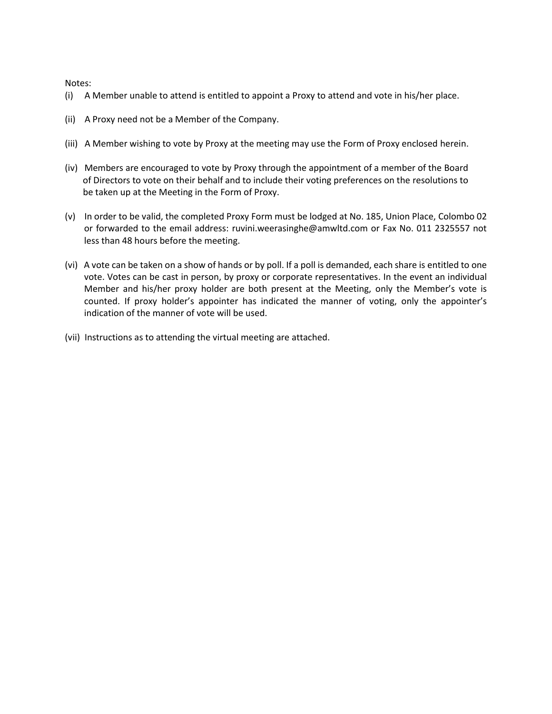Notes:

- (i) A Member unable to attend is entitled to appoint a Proxy to attend and vote in his/her place.
- (ii) A Proxy need not be a Member of the Company.
- (iii) A Member wishing to vote by Proxy at the meeting may use the Form of Proxy enclosed herein.
- (iv) Members are encouraged to vote by Proxy through the appointment of a member of the Board of Directors to vote on their behalf and to include their voting preferences on the resolutions to be taken up at the Meeting in the Form of Proxy.
- (v) In order to be valid, the completed Proxy Form must be lodged at No. 185, Union Place, Colombo 02 or forwarded to the email address: [ruvini.weerasinghe@amwltd.com](mailto:ruvini.weerasinghe@amwltd.com) or Fax No. 011 2325557 not less than 48 hours before the meeting.
- (vi) A vote can be taken on a show of hands or by poll. If a poll is demanded, each share is entitled to one vote. Votes can be cast in person, by proxy or corporate representatives. In the event an individual Member and his/her proxy holder are both present at the Meeting, only the Member's vote is counted. If proxy holder's appointer has indicated the manner of voting, only the appointer's indication of the manner of vote will be used.
- (vii) Instructions as to attending the virtual meeting are attached.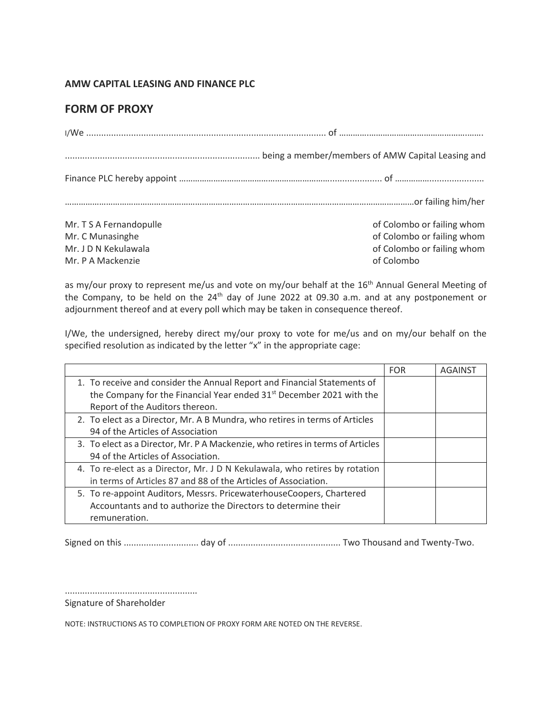### **AMW CAPITAL LEASING AND FINANCE PLC**

# **FORM OF PROXY**

| Mr. T S A Fernandopulle | of Colombo or failing whom |
|-------------------------|----------------------------|
| Mr. C Munasinghe        | of Colombo or failing whom |
| Mr. J D N Kekulawala    | of Colombo or failing whom |
| Mr. P A Mackenzie       | of Colombo                 |

as my/our proxy to represent me/us and vote on my/our behalf at the 16<sup>th</sup> Annual General Meeting of the Company, to be held on the 24<sup>th</sup> day of June 2022 at 09.30 a.m. and at any postponement or adjournment thereof and at every poll which may be taken in consequence thereof.

I/We, the undersigned, hereby direct my/our proxy to vote for me/us and on my/our behalf on the specified resolution as indicated by the letter "x" in the appropriate cage:

|                                                                                  | <b>FOR</b> | <b>AGAINST</b> |
|----------------------------------------------------------------------------------|------------|----------------|
| 1. To receive and consider the Annual Report and Financial Statements of         |            |                |
| the Company for the Financial Year ended 31 <sup>st</sup> December 2021 with the |            |                |
| Report of the Auditors thereon.                                                  |            |                |
| 2. To elect as a Director, Mr. A B Mundra, who retires in terms of Articles      |            |                |
| 94 of the Articles of Association                                                |            |                |
| 3. To elect as a Director, Mr. P A Mackenzie, who retires in terms of Articles   |            |                |
| 94 of the Articles of Association.                                               |            |                |
| 4. To re-elect as a Director, Mr. J D N Kekulawala, who retires by rotation      |            |                |
| in terms of Articles 87 and 88 of the Articles of Association.                   |            |                |
| 5. To re-appoint Auditors, Messrs. PricewaterhouseCoopers, Chartered             |            |                |
| Accountants and to authorize the Directors to determine their                    |            |                |
| remuneration.                                                                    |            |                |

Signed on this .............................. day of ............................................. Two Thousand and Twenty-Two.

.....................................................

Signature of Shareholder

NOTE: INSTRUCTIONS AS TO COMPLETION OF PROXY FORM ARE NOTED ON THE REVERSE.